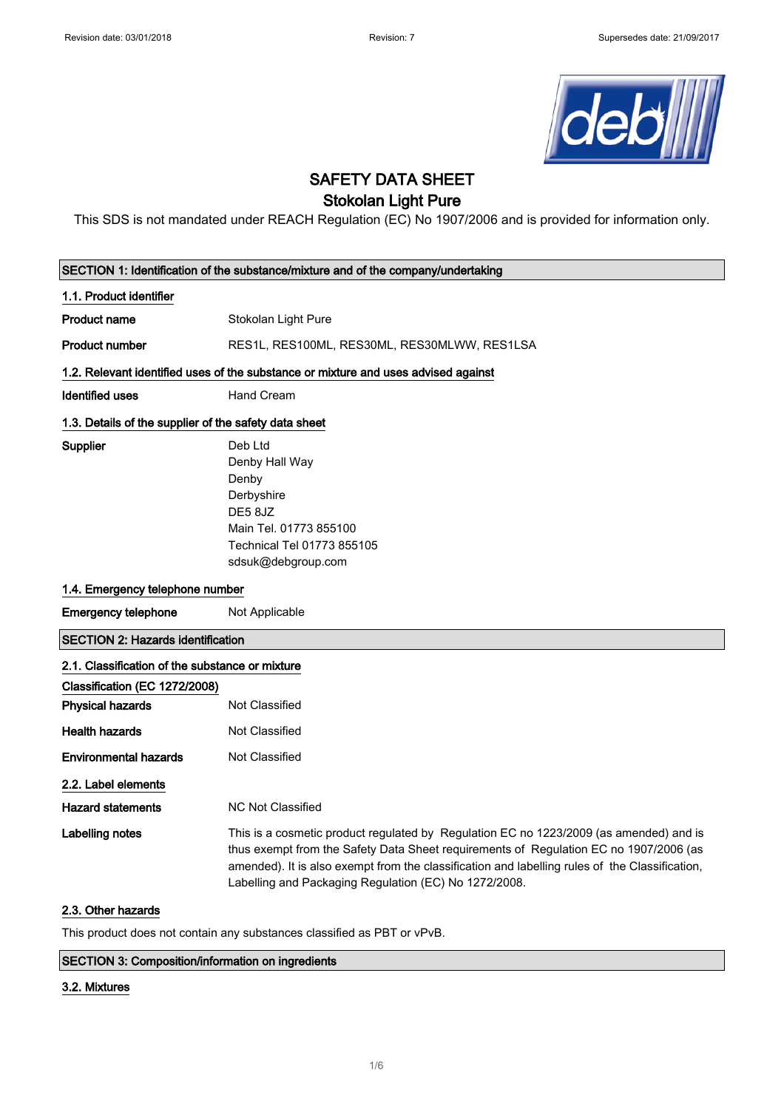

# SAFETY DATA SHEET

# Stokolan Light Pure

This SDS is not mandated under REACH Regulation (EC) No 1907/2006 and is provided for information only.

| SECTION 1: Identification of the substance/mixture and of the company/undertaking  |                                                                                                                                                                                                                                                                                                                                            |  |
|------------------------------------------------------------------------------------|--------------------------------------------------------------------------------------------------------------------------------------------------------------------------------------------------------------------------------------------------------------------------------------------------------------------------------------------|--|
| 1.1. Product identifier                                                            |                                                                                                                                                                                                                                                                                                                                            |  |
| <b>Product name</b>                                                                | Stokolan Light Pure                                                                                                                                                                                                                                                                                                                        |  |
| <b>Product number</b>                                                              | RES1L, RES100ML, RES30ML, RES30MLWW, RES1LSA                                                                                                                                                                                                                                                                                               |  |
| 1.2. Relevant identified uses of the substance or mixture and uses advised against |                                                                                                                                                                                                                                                                                                                                            |  |
| <b>Identified uses</b>                                                             | <b>Hand Cream</b>                                                                                                                                                                                                                                                                                                                          |  |
| 1.3. Details of the supplier of the safety data sheet                              |                                                                                                                                                                                                                                                                                                                                            |  |
| Supplier                                                                           | Deb Ltd<br>Denby Hall Way<br>Denby<br>Derbyshire<br>DE58JZ<br>Main Tel. 01773 855100<br>Technical Tel 01773 855105<br>sdsuk@debgroup.com                                                                                                                                                                                                   |  |
| 1.4. Emergency telephone number                                                    |                                                                                                                                                                                                                                                                                                                                            |  |
| <b>Emergency telephone</b>                                                         | Not Applicable                                                                                                                                                                                                                                                                                                                             |  |
| <b>SECTION 2: Hazards identification</b>                                           |                                                                                                                                                                                                                                                                                                                                            |  |
| 2.1. Classification of the substance or mixture                                    |                                                                                                                                                                                                                                                                                                                                            |  |
| Classification (EC 1272/2008)                                                      |                                                                                                                                                                                                                                                                                                                                            |  |
| <b>Physical hazards</b>                                                            | Not Classified                                                                                                                                                                                                                                                                                                                             |  |
| <b>Health hazards</b>                                                              | <b>Not Classified</b>                                                                                                                                                                                                                                                                                                                      |  |
| <b>Environmental hazards</b>                                                       | Not Classified                                                                                                                                                                                                                                                                                                                             |  |
| 2.2. Label elements                                                                |                                                                                                                                                                                                                                                                                                                                            |  |
| <b>Hazard statements</b>                                                           | <b>NC Not Classified</b>                                                                                                                                                                                                                                                                                                                   |  |
| <b>Labelling notes</b>                                                             | This is a cosmetic product regulated by Regulation EC no 1223/2009 (as amended) and is<br>thus exempt from the Safety Data Sheet requirements of Regulation EC no 1907/2006 (as<br>amended). It is also exempt from the classification and labelling rules of the Classification,<br>Labelling and Packaging Regulation (EC) No 1272/2008. |  |
| 2.3. Other hazards                                                                 |                                                                                                                                                                                                                                                                                                                                            |  |

This product does not contain any substances classified as PBT or vPvB.

## SECTION 3: Composition/information on ingredients

#### 3.2. Mixtures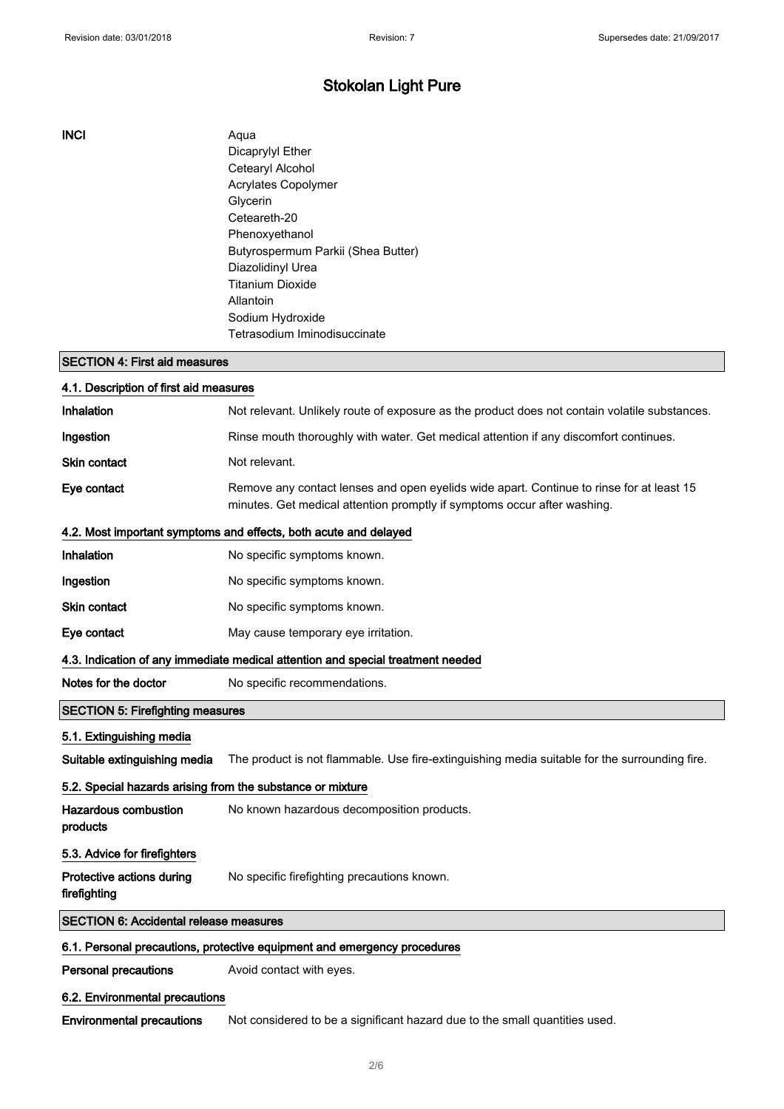## INCI Aqua

Dicaprylyl Ether Cetearyl Alcohol Acrylates Copolymer Glycerin Ceteareth-20 Phenoxyethanol Butyrospermum Parkii (Shea Butter) Diazolidinyl Urea Titanium Dioxide Allantoin Sodium Hydroxide Tetrasodium Iminodisuccinate

#### SECTION 4: First aid measures

| 4.1. Description of first aid measures                                          |                                                                                                                                                                      |  |
|---------------------------------------------------------------------------------|----------------------------------------------------------------------------------------------------------------------------------------------------------------------|--|
| Inhalation                                                                      | Not relevant. Unlikely route of exposure as the product does not contain volatile substances.                                                                        |  |
| Ingestion                                                                       | Rinse mouth thoroughly with water. Get medical attention if any discomfort continues.                                                                                |  |
| Skin contact                                                                    | Not relevant.                                                                                                                                                        |  |
| Eye contact                                                                     | Remove any contact lenses and open eyelids wide apart. Continue to rinse for at least 15<br>minutes. Get medical attention promptly if symptoms occur after washing. |  |
|                                                                                 | 4.2. Most important symptoms and effects, both acute and delayed                                                                                                     |  |
| Inhalation                                                                      | No specific symptoms known.                                                                                                                                          |  |
| Ingestion                                                                       | No specific symptoms known.                                                                                                                                          |  |
| Skin contact                                                                    | No specific symptoms known.                                                                                                                                          |  |
| Eye contact                                                                     | May cause temporary eye irritation.                                                                                                                                  |  |
| 4.3. Indication of any immediate medical attention and special treatment needed |                                                                                                                                                                      |  |
| Notes for the doctor                                                            | No specific recommendations.                                                                                                                                         |  |
| <b>SECTION 5: Firefighting measures</b>                                         |                                                                                                                                                                      |  |
| 5.1. Extinguishing media                                                        |                                                                                                                                                                      |  |
| Suitable extinguishing media                                                    | The product is not flammable. Use fire-extinguishing media suitable for the surrounding fire.                                                                        |  |
| 5.2. Special hazards arising from the substance or mixture                      |                                                                                                                                                                      |  |
| <b>Hazardous combustion</b><br>products                                         | No known hazardous decomposition products.                                                                                                                           |  |
| 5.3. Advice for firefighters                                                    |                                                                                                                                                                      |  |
| Protective actions during<br>firefighting                                       | No specific firefighting precautions known.                                                                                                                          |  |
| <b>SECTION 6: Accidental release measures</b>                                   |                                                                                                                                                                      |  |
| 6.1. Personal precautions, protective equipment and emergency procedures        |                                                                                                                                                                      |  |
| <b>Personal precautions</b>                                                     | Avoid contact with eyes.                                                                                                                                             |  |
| 6.2. Environmental precautions                                                  |                                                                                                                                                                      |  |

Environmental precautions Not considered to be a significant hazard due to the small quantities used.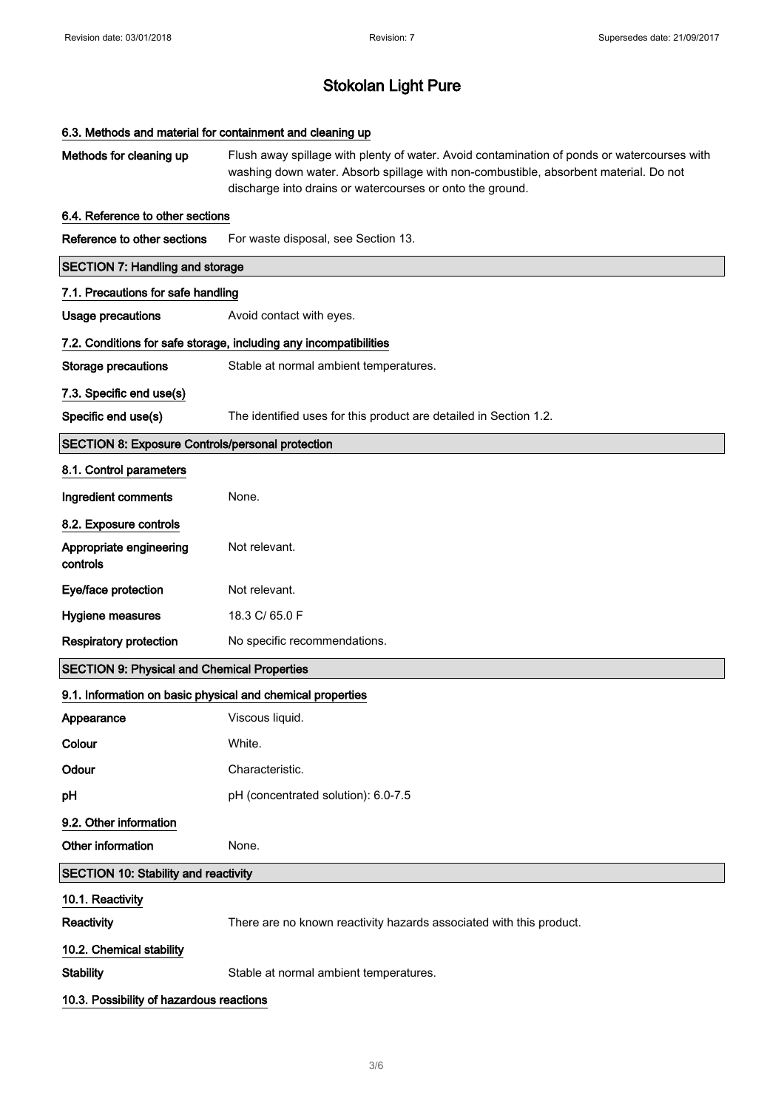| 6.3. Methods and material for containment and cleaning up  |                                                                                                                                                                                                                                                  |  |  |
|------------------------------------------------------------|--------------------------------------------------------------------------------------------------------------------------------------------------------------------------------------------------------------------------------------------------|--|--|
| Methods for cleaning up                                    | Flush away spillage with plenty of water. Avoid contamination of ponds or watercourses with<br>washing down water. Absorb spillage with non-combustible, absorbent material. Do not<br>discharge into drains or watercourses or onto the ground. |  |  |
| 6.4. Reference to other sections                           |                                                                                                                                                                                                                                                  |  |  |
| Reference to other sections                                | For waste disposal, see Section 13.                                                                                                                                                                                                              |  |  |
| <b>SECTION 7: Handling and storage</b>                     |                                                                                                                                                                                                                                                  |  |  |
| 7.1. Precautions for safe handling                         |                                                                                                                                                                                                                                                  |  |  |
| <b>Usage precautions</b>                                   | Avoid contact with eyes.                                                                                                                                                                                                                         |  |  |
|                                                            | 7.2. Conditions for safe storage, including any incompatibilities                                                                                                                                                                                |  |  |
| <b>Storage precautions</b>                                 | Stable at normal ambient temperatures.                                                                                                                                                                                                           |  |  |
| 7.3. Specific end use(s)                                   |                                                                                                                                                                                                                                                  |  |  |
| Specific end use(s)                                        | The identified uses for this product are detailed in Section 1.2.                                                                                                                                                                                |  |  |
| <b>SECTION 8: Exposure Controls/personal protection</b>    |                                                                                                                                                                                                                                                  |  |  |
| 8.1. Control parameters                                    |                                                                                                                                                                                                                                                  |  |  |
| Ingredient comments                                        | None.                                                                                                                                                                                                                                            |  |  |
| 8.2. Exposure controls                                     |                                                                                                                                                                                                                                                  |  |  |
| Appropriate engineering<br>controls                        | Not relevant.                                                                                                                                                                                                                                    |  |  |
| Eye/face protection                                        | Not relevant.                                                                                                                                                                                                                                    |  |  |
| Hygiene measures                                           | 18.3 C/ 65.0 F                                                                                                                                                                                                                                   |  |  |
| <b>Respiratory protection</b>                              | No specific recommendations.                                                                                                                                                                                                                     |  |  |
| <b>SECTION 9: Physical and Chemical Properties</b>         |                                                                                                                                                                                                                                                  |  |  |
| 9.1. Information on basic physical and chemical properties |                                                                                                                                                                                                                                                  |  |  |
| Appearance                                                 | Viscous liquid.                                                                                                                                                                                                                                  |  |  |
| Colour                                                     | White.                                                                                                                                                                                                                                           |  |  |
| Odour                                                      | Characteristic.                                                                                                                                                                                                                                  |  |  |
| pH                                                         | pH (concentrated solution): 6.0-7.5                                                                                                                                                                                                              |  |  |
| 9.2. Other information                                     |                                                                                                                                                                                                                                                  |  |  |
| Other information                                          | None.                                                                                                                                                                                                                                            |  |  |
| <b>SECTION 10: Stability and reactivity</b>                |                                                                                                                                                                                                                                                  |  |  |
| 10.1. Reactivity                                           |                                                                                                                                                                                                                                                  |  |  |
| Reactivity                                                 | There are no known reactivity hazards associated with this product.                                                                                                                                                                              |  |  |
| 10.2. Chemical stability                                   |                                                                                                                                                                                                                                                  |  |  |
| <b>Stability</b>                                           | Stable at normal ambient temperatures.                                                                                                                                                                                                           |  |  |
| 10.3. Possibility of hazardous reactions                   |                                                                                                                                                                                                                                                  |  |  |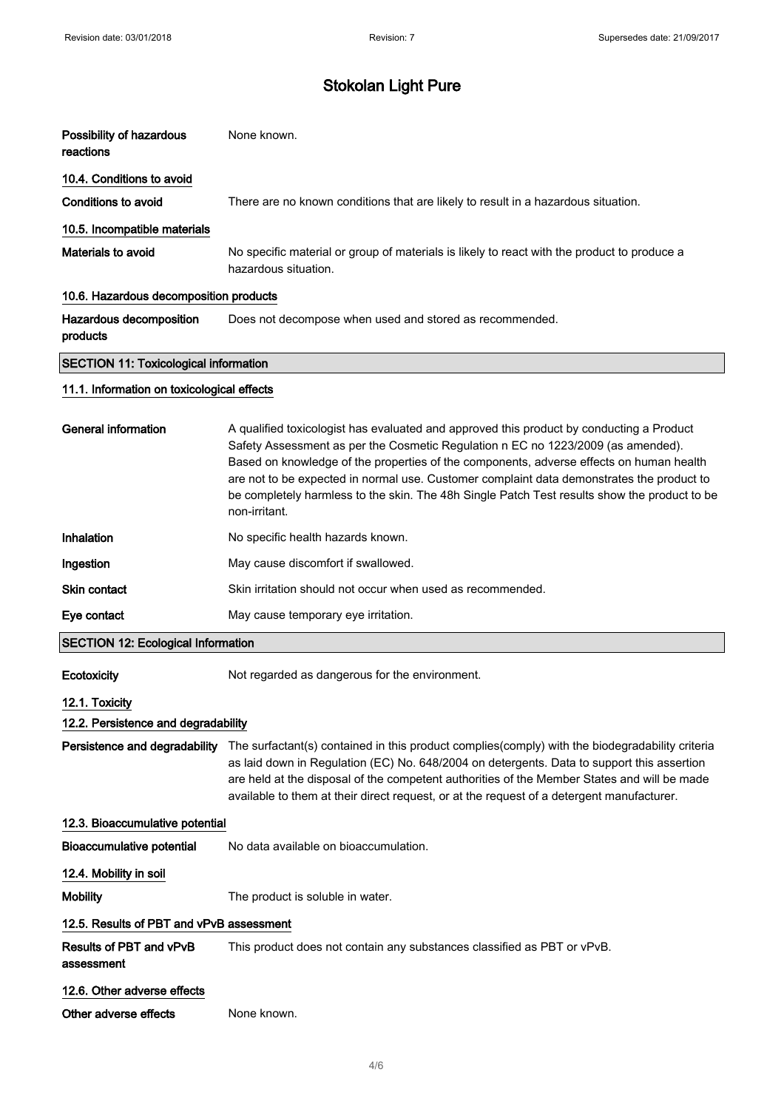| Possibility of hazardous<br>reactions        | None known.                                                                                                                                                                                                                                                                                                                                                                                                                                                                           |  |
|----------------------------------------------|---------------------------------------------------------------------------------------------------------------------------------------------------------------------------------------------------------------------------------------------------------------------------------------------------------------------------------------------------------------------------------------------------------------------------------------------------------------------------------------|--|
| 10.4. Conditions to avoid                    |                                                                                                                                                                                                                                                                                                                                                                                                                                                                                       |  |
| <b>Conditions to avoid</b>                   | There are no known conditions that are likely to result in a hazardous situation.                                                                                                                                                                                                                                                                                                                                                                                                     |  |
| 10.5. Incompatible materials                 |                                                                                                                                                                                                                                                                                                                                                                                                                                                                                       |  |
| Materials to avoid                           | No specific material or group of materials is likely to react with the product to produce a<br>hazardous situation.                                                                                                                                                                                                                                                                                                                                                                   |  |
| 10.6. Hazardous decomposition products       |                                                                                                                                                                                                                                                                                                                                                                                                                                                                                       |  |
| Hazardous decomposition<br>products          | Does not decompose when used and stored as recommended.                                                                                                                                                                                                                                                                                                                                                                                                                               |  |
| <b>SECTION 11: Toxicological information</b> |                                                                                                                                                                                                                                                                                                                                                                                                                                                                                       |  |
| 11.1. Information on toxicological effects   |                                                                                                                                                                                                                                                                                                                                                                                                                                                                                       |  |
| <b>General information</b>                   | A qualified toxicologist has evaluated and approved this product by conducting a Product<br>Safety Assessment as per the Cosmetic Regulation n EC no 1223/2009 (as amended).<br>Based on knowledge of the properties of the components, adverse effects on human health<br>are not to be expected in normal use. Customer complaint data demonstrates the product to<br>be completely harmless to the skin. The 48h Single Patch Test results show the product to be<br>non-irritant. |  |
| Inhalation                                   | No specific health hazards known.                                                                                                                                                                                                                                                                                                                                                                                                                                                     |  |
| Ingestion                                    | May cause discomfort if swallowed.                                                                                                                                                                                                                                                                                                                                                                                                                                                    |  |
| <b>Skin contact</b>                          | Skin irritation should not occur when used as recommended.                                                                                                                                                                                                                                                                                                                                                                                                                            |  |
| Eye contact                                  | May cause temporary eye irritation.                                                                                                                                                                                                                                                                                                                                                                                                                                                   |  |
| <b>SECTION 12: Ecological Information</b>    |                                                                                                                                                                                                                                                                                                                                                                                                                                                                                       |  |
| Ecotoxicity                                  | Not regarded as dangerous for the environment.                                                                                                                                                                                                                                                                                                                                                                                                                                        |  |
| 12.1. Toxicity                               |                                                                                                                                                                                                                                                                                                                                                                                                                                                                                       |  |
| 12.2. Persistence and degradability          |                                                                                                                                                                                                                                                                                                                                                                                                                                                                                       |  |
| Persistence and degradability                | The surfactant(s) contained in this product complies(comply) with the biodegradability criteria<br>as laid down in Regulation (EC) No. 648/2004 on detergents. Data to support this assertion<br>are held at the disposal of the competent authorities of the Member States and will be made<br>available to them at their direct request, or at the request of a detergent manufacturer.                                                                                             |  |
| 12.3. Bioaccumulative potential              |                                                                                                                                                                                                                                                                                                                                                                                                                                                                                       |  |
| <b>Bioaccumulative potential</b>             | No data available on bioaccumulation.                                                                                                                                                                                                                                                                                                                                                                                                                                                 |  |
| 12.4. Mobility in soil                       |                                                                                                                                                                                                                                                                                                                                                                                                                                                                                       |  |
| <b>Mobility</b>                              | The product is soluble in water.                                                                                                                                                                                                                                                                                                                                                                                                                                                      |  |
| 12.5. Results of PBT and vPvB assessment     |                                                                                                                                                                                                                                                                                                                                                                                                                                                                                       |  |
| Results of PBT and vPvB<br>assessment        | This product does not contain any substances classified as PBT or vPvB.                                                                                                                                                                                                                                                                                                                                                                                                               |  |

12.6. Other adverse effects

Other adverse effects None known.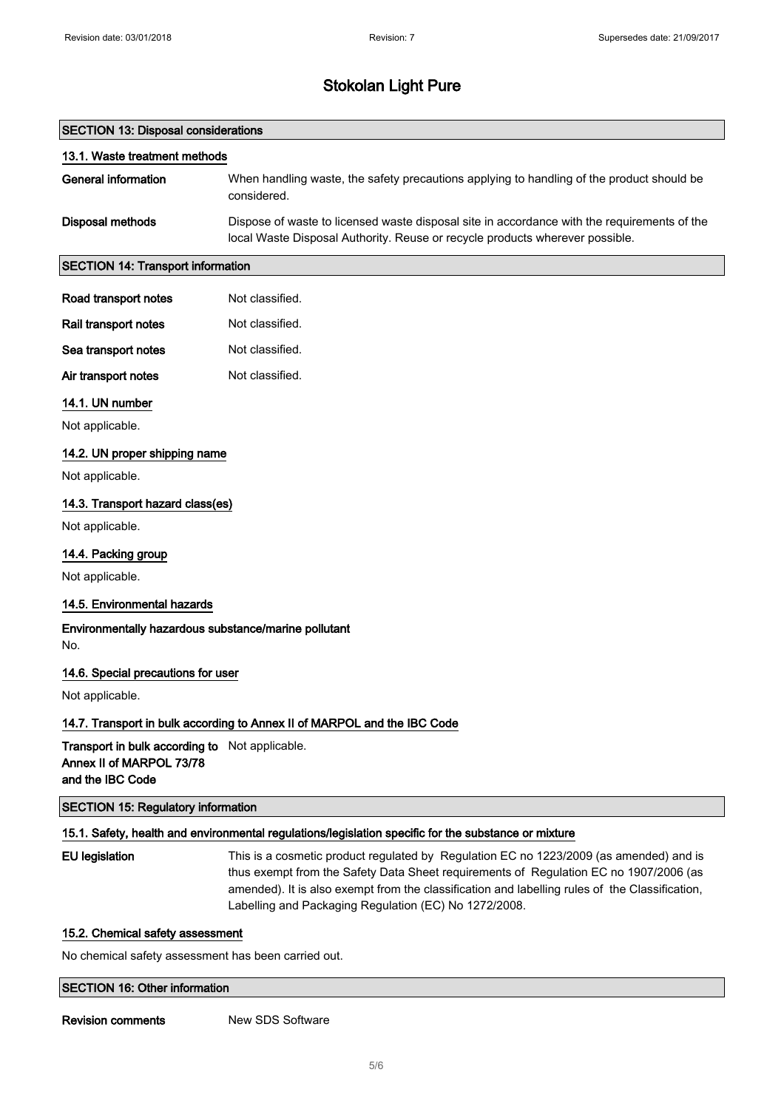#### SECTION 13: Disposal considerations

| 13.1. Waste treatment methods |                                                                                                                                                                             |
|-------------------------------|-----------------------------------------------------------------------------------------------------------------------------------------------------------------------------|
| <b>General information</b>    | When handling waste, the safety precautions applying to handling of the product should be<br>considered.                                                                    |
| Disposal methods              | Dispose of waste to licensed waste disposal site in accordance with the requirements of the<br>local Waste Disposal Authority. Reuse or recycle products wherever possible. |

### SECTION 14: Transport information

| Road transport notes | Not classified. |
|----------------------|-----------------|
|                      |                 |

| Rail transport notes | Not classified. |
|----------------------|-----------------|
| Sea transport notes  | Not classified. |

Air transport notes Not classified.

### 14.1. UN number

Not applicable.

#### 14.2. UN proper shipping name

Not applicable.

## 14.3. Transport hazard class(es)

Not applicable.

#### 14.4. Packing group

Not applicable.

#### 14.5. Environmental hazards

Environmentally hazardous substance/marine pollutant No.

#### 14.6. Special precautions for user

Not applicable.

#### 14.7. Transport in bulk according to Annex II of MARPOL and the IBC Code

Transport in bulk according to Not applicable. Annex II of MARPOL 73/78 and the IBC Code

SECTION 15: Regulatory information

#### 15.1. Safety, health and environmental regulations/legislation specific for the substance or mixture

EU legislation This is a cosmetic product regulated by Regulation EC no 1223/2009 (as amended) and is thus exempt from the Safety Data Sheet requirements of Regulation EC no 1907/2006 (as amended). It is also exempt from the classification and labelling rules of the Classification, Labelling and Packaging Regulation (EC) No 1272/2008.

#### 15.2. Chemical safety assessment

No chemical safety assessment has been carried out.

## SECTION 16: Other information

**Revision comments** New SDS Software